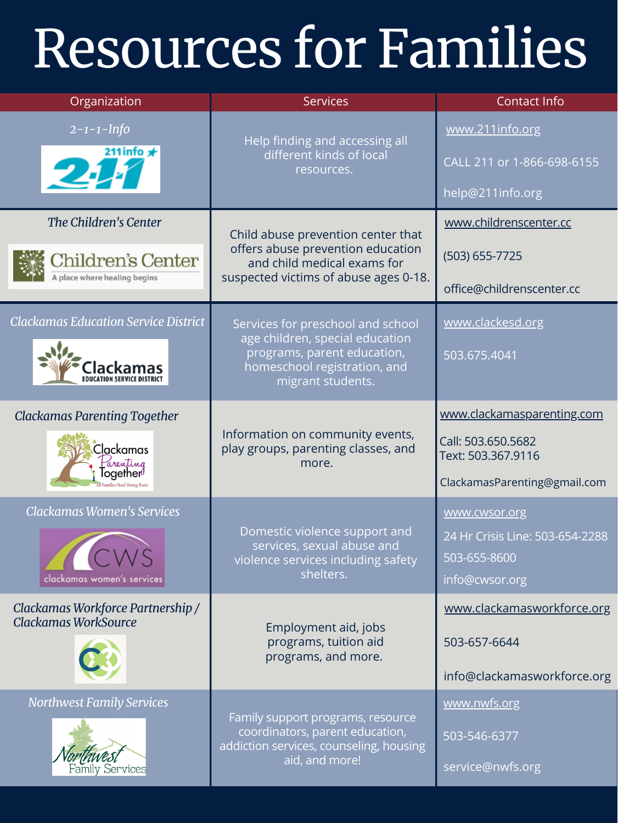| Clackamas<br>Parenting<br>Together $\ell$<br>Families Need Strong Roots                                 | Information on community events,<br>play groups, parenting classes, and<br>more.                                                  | Call: 503.650.5682<br>Text: 503.367.9116<br>ClackamasParenting@gmail.com                  |
|---------------------------------------------------------------------------------------------------------|-----------------------------------------------------------------------------------------------------------------------------------|-------------------------------------------------------------------------------------------|
| Clackamas Women's Services<br>clackamas women's services                                                | Domestic violence support and<br>services, sexual abuse and<br>violence services including safety<br>shelters.                    | <b>WWW.CWSOr.org</b><br>24 Hr Crisis Line: 503-654-2288<br>503-655-8600<br>info@cwsor.org |
| Clackamas Workforce Partnership /<br>Clackamas WorkSource<br>and the state of the state of the state of | Employment aid, jobs<br>programs, tuition aid<br>programs, and more.                                                              | www.clackamasworkforce.org<br>503-657-6644<br>info@clackamasworkforce.org                 |
| <b>Northwest Family Services</b><br>Family Services                                                     | Family support programs, resource<br>coordinators, parent education,<br>addiction services, counseling, housing<br>aid, and more! | www.nwfs.org<br>503-546-6377<br>service@nwfs.org                                          |

| Organization                                                               | <b>Services</b>                                                                                                                                          | <b>Contact Info</b>                                                       |
|----------------------------------------------------------------------------|----------------------------------------------------------------------------------------------------------------------------------------------------------|---------------------------------------------------------------------------|
| $2 - 1 - 1 - lnfo$<br>211 info $\star$<br>24                               | Help finding and accessing all<br>different kinds of local<br>resources.                                                                                 | www.211info.org<br>CALL 211 or 1-866-698-6155<br>help@211info.org         |
| The Children's Center<br>Children's Center<br>A place where healing begins | Child abuse prevention center that<br>offers abuse prevention education<br>and child medical exams for<br>suspected victims of abuse ages 0-18.          | www.childrenscenter.cc<br>$(503) 655 - 7725$<br>office@childrenscenter.cc |
| <b>Clackamas Education Service District</b><br>lackamas                    | Services for preschool and school<br>age children, special education<br>programs, parent education,<br>homeschool registration, and<br>migrant students. | www.clackesd.org<br>503.675.4041                                          |
| <b>Clackamas Parenting Together</b>                                        |                                                                                                                                                          | www.clackamasparenting.com                                                |

## Resources for Families